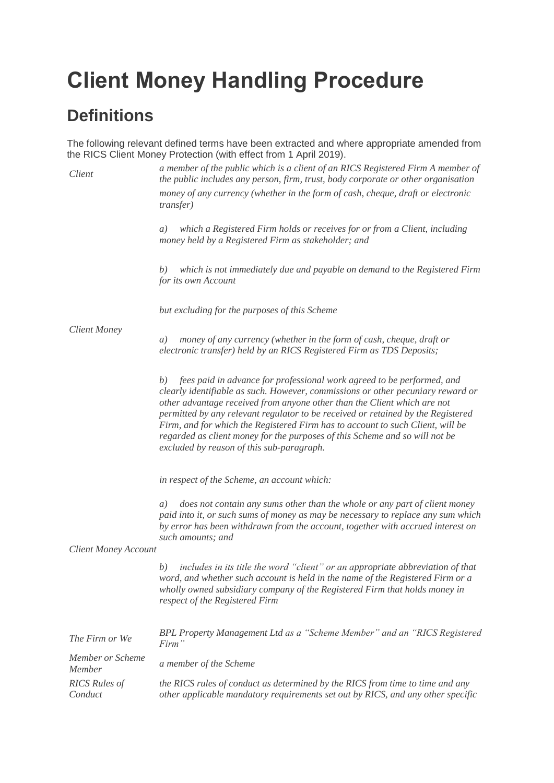# **Client Money Handling Procedure**

# **Definitions**

The following relevant defined terms have been extracted and where appropriate amended from the RICS Client Money Protection (with effect from 1 April 2019).

| Client                          | a member of the public which is a client of an RICS Registered Firm A member of<br>the public includes any person, firm, trust, body corporate or other organisation                                                                                                                                                                                                                                                                                                                                                                          |
|---------------------------------|-----------------------------------------------------------------------------------------------------------------------------------------------------------------------------------------------------------------------------------------------------------------------------------------------------------------------------------------------------------------------------------------------------------------------------------------------------------------------------------------------------------------------------------------------|
|                                 | money of any currency (whether in the form of cash, cheque, draft or electronic<br><i>transfer</i> )                                                                                                                                                                                                                                                                                                                                                                                                                                          |
|                                 | which a Registered Firm holds or receives for or from a Client, including<br>a)<br>money held by a Registered Firm as stakeholder; and                                                                                                                                                                                                                                                                                                                                                                                                        |
|                                 | which is not immediately due and payable on demand to the Registered Firm<br>b)<br>for its own Account                                                                                                                                                                                                                                                                                                                                                                                                                                        |
|                                 | but excluding for the purposes of this Scheme                                                                                                                                                                                                                                                                                                                                                                                                                                                                                                 |
| <b>Client Money</b>             | money of any currency (whether in the form of cash, cheque, draft or<br>a)<br>electronic transfer) held by an RICS Registered Firm as TDS Deposits;                                                                                                                                                                                                                                                                                                                                                                                           |
|                                 | fees paid in advance for professional work agreed to be performed, and<br>b)<br>clearly identifiable as such. However, commissions or other pecuniary reward or<br>other advantage received from anyone other than the Client which are not<br>permitted by any relevant regulator to be received or retained by the Registered<br>Firm, and for which the Registered Firm has to account to such Client, will be<br>regarded as client money for the purposes of this Scheme and so will not be<br>excluded by reason of this sub-paragraph. |
|                                 | in respect of the Scheme, an account which:                                                                                                                                                                                                                                                                                                                                                                                                                                                                                                   |
|                                 | does not contain any sums other than the whole or any part of client money<br>a)<br>paid into it, or such sums of money as may be necessary to replace any sum which<br>by error has been withdrawn from the account, together with accrued interest on<br>such amounts; and                                                                                                                                                                                                                                                                  |
| <b>Client Money Account</b>     |                                                                                                                                                                                                                                                                                                                                                                                                                                                                                                                                               |
|                                 | includes in its title the word "client" or an appropriate abbreviation of that<br>b)<br>word, and whether such account is held in the name of the Registered Firm or a<br>wholly owned subsidiary company of the Registered Firm that holds money in<br>respect of the Registered Firm                                                                                                                                                                                                                                                        |
| The Firm or We                  | BPL Property Management Ltd as a "Scheme Member" and an "RICS Registered<br>Firm"                                                                                                                                                                                                                                                                                                                                                                                                                                                             |
| Member or Scheme<br>Member      | a member of the Scheme                                                                                                                                                                                                                                                                                                                                                                                                                                                                                                                        |
| <b>RICS</b> Rules of<br>Conduct | the RICS rules of conduct as determined by the RICS from time to time and any<br>other applicable mandatory requirements set out by RICS, and any other specific                                                                                                                                                                                                                                                                                                                                                                              |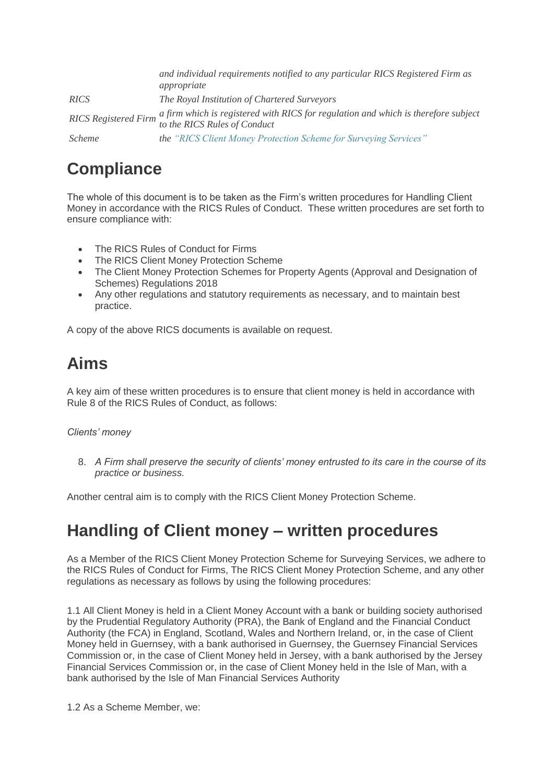|                             | and individual requirements notified to any particular RICS Registered Firm as<br>appropriate                      |
|-----------------------------|--------------------------------------------------------------------------------------------------------------------|
| <b>RICS</b>                 | The Royal Institution of Chartered Surveyors                                                                       |
| <b>RICS</b> Registered Firm | a firm which is registered with RICS for regulation and which is therefore subject<br>to the RICS Rules of Conduct |
| <i>Scheme</i>               | the "RICS Client Money Protection Scheme for Surveying Services"                                                   |

# **Compliance**

The whole of this document is to be taken as the Firm's written procedures for Handling Client Money in accordance with the RICS Rules of Conduct. These written procedures are set forth to ensure compliance with:

- The RICS Rules of Conduct for Firms
- The RICS Client Money Protection Scheme
- The Client Money Protection Schemes for Property Agents (Approval and Designation of Schemes) Regulations 2018
- Any other regulations and statutory requirements as necessary, and to maintain best practice.

A copy of the above RICS documents is available on request.

# **Aims**

A key aim of these written procedures is to ensure that client money is held in accordance with Rule 8 of the RICS Rules of Conduct, as follows:

#### *Clients' money*

8. *A Firm shall preserve the security of clients' money entrusted to its care in the course of its practice or business.*

Another central aim is to comply with the RICS Client Money Protection Scheme.

### **Handling of Client money – written procedures**

As a Member of the RICS Client Money Protection Scheme for Surveying Services, we adhere to the RICS Rules of Conduct for Firms, The RICS Client Money Protection Scheme, and any other regulations as necessary as follows by using the following procedures:

1.1 All Client Money is held in a Client Money Account with a bank or building society authorised by the Prudential Regulatory Authority (PRA), the Bank of England and the Financial Conduct Authority (the FCA) in England, Scotland, Wales and Northern Ireland, or, in the case of Client Money held in Guernsey, with a bank authorised in Guernsey, the Guernsey Financial Services Commission or, in the case of Client Money held in Jersey, with a bank authorised by the Jersey Financial Services Commission or, in the case of Client Money held in the Isle of Man, with a bank authorised by the Isle of Man Financial Services Authority

1.2 As a Scheme Member, we: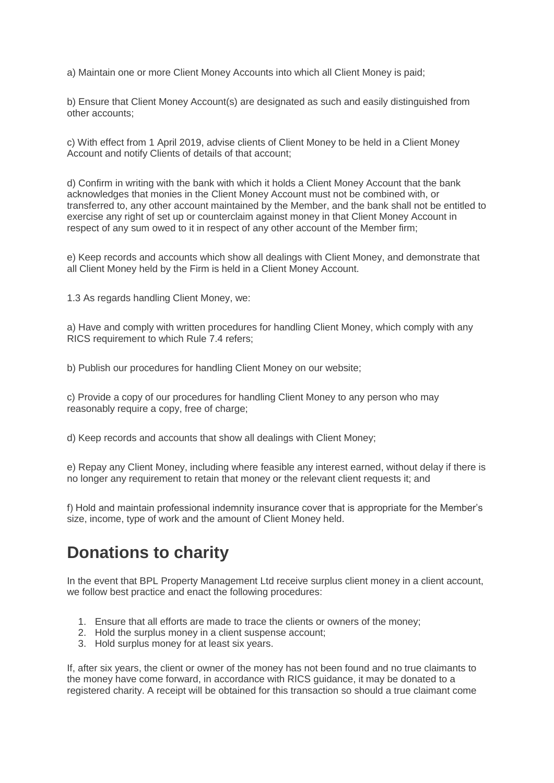a) Maintain one or more Client Money Accounts into which all Client Money is paid;

b) Ensure that Client Money Account(s) are designated as such and easily distinguished from other accounts;

c) With effect from 1 April 2019, advise clients of Client Money to be held in a Client Money Account and notify Clients of details of that account;

d) Confirm in writing with the bank with which it holds a Client Money Account that the bank acknowledges that monies in the Client Money Account must not be combined with, or transferred to, any other account maintained by the Member, and the bank shall not be entitled to exercise any right of set up or counterclaim against money in that Client Money Account in respect of any sum owed to it in respect of any other account of the Member firm;

e) Keep records and accounts which show all dealings with Client Money, and demonstrate that all Client Money held by the Firm is held in a Client Money Account.

1.3 As regards handling Client Money, we:

a) Have and comply with written procedures for handling Client Money, which comply with any RICS requirement to which Rule 7.4 refers;

b) Publish our procedures for handling Client Money on our website;

c) Provide a copy of our procedures for handling Client Money to any person who may reasonably require a copy, free of charge;

d) Keep records and accounts that show all dealings with Client Money;

e) Repay any Client Money, including where feasible any interest earned, without delay if there is no longer any requirement to retain that money or the relevant client requests it; and

f) Hold and maintain professional indemnity insurance cover that is appropriate for the Member's size, income, type of work and the amount of Client Money held.

### **Donations to charity**

In the event that BPL Property Management Ltd receive surplus client money in a client account, we follow best practice and enact the following procedures:

- 1. Ensure that all efforts are made to trace the clients or owners of the money;
- 2. Hold the surplus money in a client suspense account;
- 3. Hold surplus money for at least six years.

If, after six years, the client or owner of the money has not been found and no true claimants to the money have come forward, in accordance with RICS guidance, it may be donated to a registered charity. A receipt will be obtained for this transaction so should a true claimant come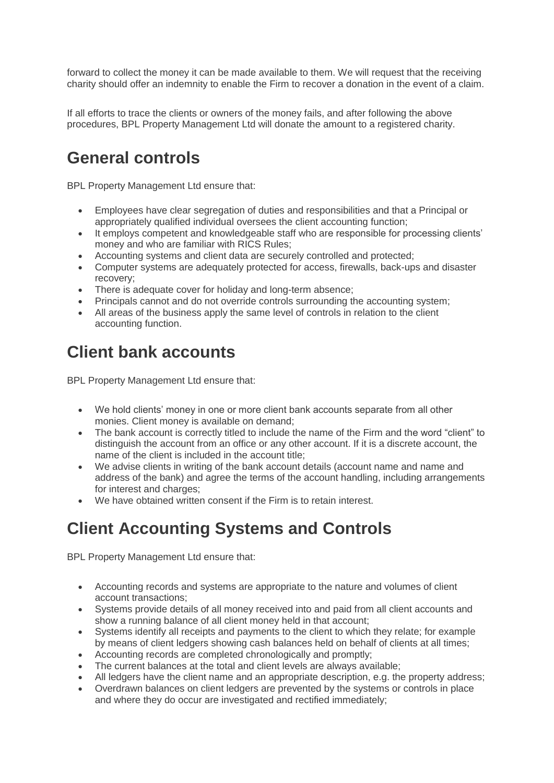forward to collect the money it can be made available to them. We will request that the receiving charity should offer an indemnity to enable the Firm to recover a donation in the event of a claim.

If all efforts to trace the clients or owners of the money fails, and after following the above procedures, BPL Property Management Ltd will donate the amount to a registered charity.

# **General controls**

BPL Property Management Ltd ensure that:

- Employees have clear segregation of duties and responsibilities and that a Principal or appropriately qualified individual oversees the client accounting function;
- It employs competent and knowledgeable staff who are responsible for processing clients' money and who are familiar with RICS Rules;
- Accounting systems and client data are securely controlled and protected;
- Computer systems are adequately protected for access, firewalls, back-ups and disaster recovery;
- There is adequate cover for holiday and long-term absence;
- Principals cannot and do not override controls surrounding the accounting system;
- All areas of the business apply the same level of controls in relation to the client accounting function.

#### **Client bank accounts**

BPL Property Management Ltd ensure that:

- We hold clients' money in one or more client bank accounts separate from all other monies. Client money is available on demand;
- The bank account is correctly titled to include the name of the Firm and the word "client" to distinguish the account from an office or any other account. If it is a discrete account, the name of the client is included in the account title;
- We advise clients in writing of the bank account details (account name and name and address of the bank) and agree the terms of the account handling, including arrangements for interest and charges;
- We have obtained written consent if the Firm is to retain interest.

# **Client Accounting Systems and Controls**

BPL Property Management Ltd ensure that:

- Accounting records and systems are appropriate to the nature and volumes of client account transactions;
- Systems provide details of all money received into and paid from all client accounts and show a running balance of all client money held in that account;
- Systems identify all receipts and payments to the client to which they relate; for example by means of client ledgers showing cash balances held on behalf of clients at all times;
- Accounting records are completed chronologically and promptly;
- The current balances at the total and client levels are always available;
- All ledgers have the client name and an appropriate description, e.g. the property address;
- Overdrawn balances on client ledgers are prevented by the systems or controls in place and where they do occur are investigated and rectified immediately;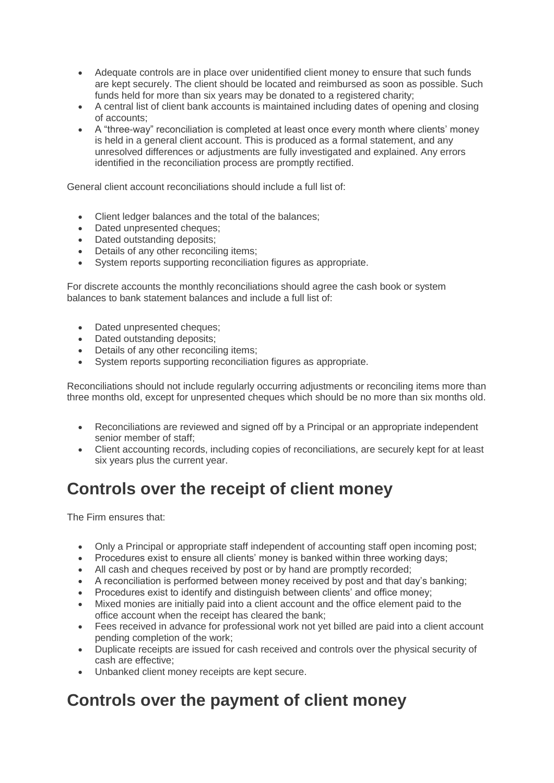- Adequate controls are in place over unidentified client money to ensure that such funds are kept securely. The client should be located and reimbursed as soon as possible. Such funds held for more than six years may be donated to a registered charity;
- A central list of client bank accounts is maintained including dates of opening and closing of accounts;
- A "three-way" reconciliation is completed at least once every month where clients' money is held in a general client account. This is produced as a formal statement, and any unresolved differences or adjustments are fully investigated and explained. Any errors identified in the reconciliation process are promptly rectified.

General client account reconciliations should include a full list of:

- Client ledger balances and the total of the balances;
- Dated unpresented cheques;
- Dated outstanding deposits;
- Details of any other reconciling items:
- System reports supporting reconciliation figures as appropriate.

For discrete accounts the monthly reconciliations should agree the cash book or system balances to bank statement balances and include a full list of:

- Dated unpresented cheques:
- Dated outstanding deposits;
- Details of any other reconciling items;
- System reports supporting reconciliation figures as appropriate.

Reconciliations should not include regularly occurring adjustments or reconciling items more than three months old, except for unpresented cheques which should be no more than six months old.

- Reconciliations are reviewed and signed off by a Principal or an appropriate independent senior member of staff;
- Client accounting records, including copies of reconciliations, are securely kept for at least six years plus the current year.

# **Controls over the receipt of client money**

The Firm ensures that:

- Only a Principal or appropriate staff independent of accounting staff open incoming post;
- Procedures exist to ensure all clients' money is banked within three working days;
- All cash and cheques received by post or by hand are promptly recorded;
- A reconciliation is performed between money received by post and that day's banking;
- Procedures exist to identify and distinguish between clients' and office money;
- Mixed monies are initially paid into a client account and the office element paid to the office account when the receipt has cleared the bank;
- Fees received in advance for professional work not yet billed are paid into a client account pending completion of the work;
- Duplicate receipts are issued for cash received and controls over the physical security of cash are effective;
- Unbanked client money receipts are kept secure.

### **Controls over the payment of client money**